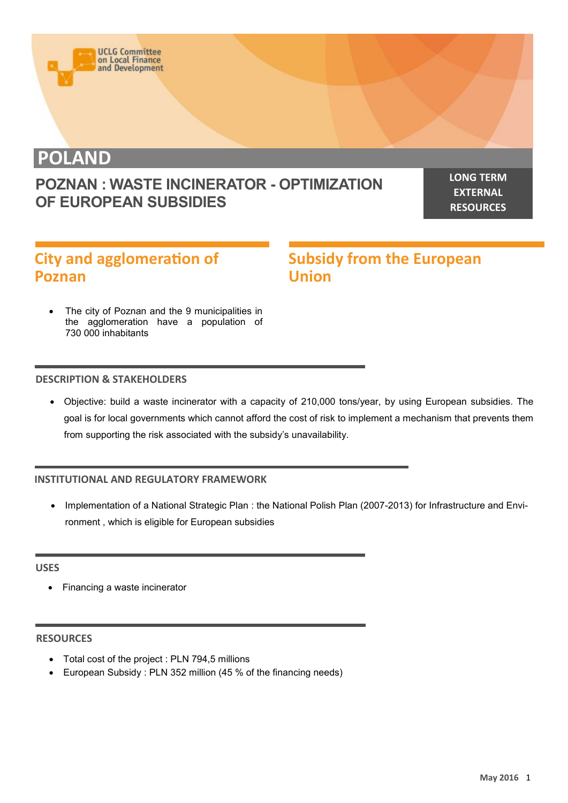

**POLAND**

## **POZNAN : WASTE INCINERATOR - OPTIMIZATION OF EUROPEAN SUBSIDIES**

**LONG TERM EXTERNAL RESOURCES**

# **City and agglomeration of Poznan**

**Subsidy from the European Union**

 The city of Poznan and the 9 municipalities in the agglomeration have a population of 730 000 inhabitants

#### **DESCRIPTION & STAKEHOLDERS**

 Objective: build a waste incinerator with a capacity of 210,000 tons/year, by using European subsidies. The goal is for local governments which cannot afford the cost of risk to implement a mechanism that prevents them from supporting the risk associated with the subsidy's unavailability.

#### **INSTITUTIONAL AND REGULATORY FRAMEWORK**

 Implementation of a National Strategic Plan : the National Polish Plan (2007-2013) for Infrastructure and Environment , which is eligible for European subsidies

#### **USES**

• Financing a waste incinerator

#### **RESOURCES**

- Total cost of the project : PLN 794,5 millions
- European Subsidy : PLN 352 million (45 % of the financing needs)